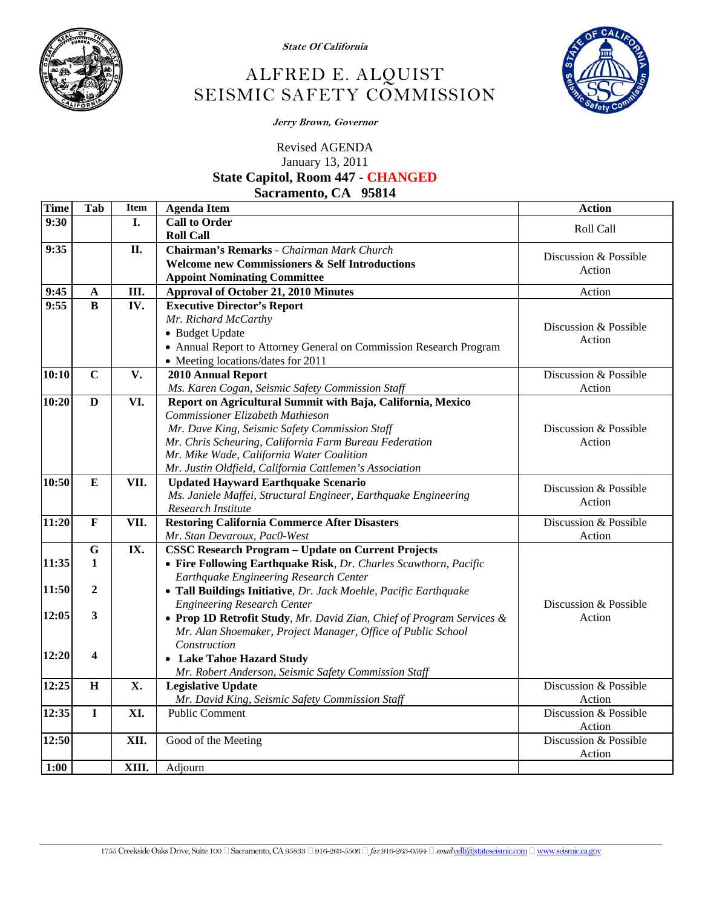

**State Of California** 

## ALFRED E. ALQUIST SEISMIC SAFETY COMMISSION



**Jerry Brown, Governor** 

Revised AGENDA January 13, 2011

## **State Capitol, Room 447 - CHANGED**

**Sacramento, CA 95814** 

| <b>Time</b> | Tab                     | <b>Item</b> | <b>Agenda Item</b>                                                    | <b>Action</b>                   |
|-------------|-------------------------|-------------|-----------------------------------------------------------------------|---------------------------------|
| 9:30        |                         | I.          | <b>Call to Order</b>                                                  | Roll Call                       |
|             |                         |             | <b>Roll Call</b>                                                      |                                 |
| 9:35        |                         | II.         | Chairman's Remarks - Chairman Mark Church                             |                                 |
|             |                         |             | <b>Welcome new Commissioners &amp; Self Introductions</b>             | Discussion & Possible<br>Action |
|             |                         |             | <b>Appoint Nominating Committee</b>                                   |                                 |
| 9:45        | A                       | Ш.          | <b>Approval of October 21, 2010 Minutes</b>                           | Action                          |
| 9:55        | B                       | IV.         | <b>Executive Director's Report</b>                                    |                                 |
|             |                         |             | Mr. Richard McCarthy                                                  |                                 |
|             |                         |             | • Budget Update                                                       | Discussion & Possible           |
|             |                         |             | • Annual Report to Attorney General on Commission Research Program    | Action                          |
|             |                         |             | • Meeting locations/dates for 2011                                    |                                 |
| 10:10       | $\mathbf C$             | V.          | 2010 Annual Report                                                    | Discussion & Possible           |
|             |                         |             | Ms. Karen Cogan, Seismic Safety Commission Staff                      | Action                          |
| 10:20       | $\mathbf{D}$            | VI.         | Report on Agricultural Summit with Baja, California, Mexico           |                                 |
|             |                         |             | Commissioner Elizabeth Mathieson                                      |                                 |
|             |                         |             | Mr. Dave King, Seismic Safety Commission Staff                        | Discussion & Possible           |
|             |                         |             | Mr. Chris Scheuring, California Farm Bureau Federation                | Action                          |
|             |                         |             | Mr. Mike Wade, California Water Coalition                             |                                 |
|             |                         |             | Mr. Justin Oldfield, California Cattlemen's Association               |                                 |
| 10:50       | ${\bf E}$               | VII.        | <b>Updated Hayward Earthquake Scenario</b>                            | Discussion & Possible           |
|             |                         |             | Ms. Janiele Maffei, Structural Engineer, Earthquake Engineering       | Action                          |
|             |                         |             | Research Institute                                                    |                                 |
| 11:20       | F                       | VII.        | <b>Restoring California Commerce After Disasters</b>                  | Discussion & Possible           |
|             |                         |             | Mr. Stan Devaroux, Pac0-West                                          | Action                          |
|             | G                       | IX.         | <b>CSSC Research Program - Update on Current Projects</b>             |                                 |
| 11:35       | 1                       |             | • Fire Following Earthquake Risk, Dr. Charles Scawthorn, Pacific      |                                 |
|             |                         |             | Earthquake Engineering Research Center                                |                                 |
| 11:50       | $\boldsymbol{2}$        |             | · Tall Buildings Initiative, Dr. Jack Moehle, Pacific Earthquake      |                                 |
|             |                         |             | <b>Engineering Research Center</b>                                    | Discussion & Possible           |
| 12:05       | 3                       |             | • Prop 1D Retrofit Study, Mr. David Zian, Chief of Program Services & | Action                          |
|             |                         |             | Mr. Alan Shoemaker, Project Manager, Office of Public School          |                                 |
| 12:20       | $\overline{\mathbf{4}}$ |             | Construction                                                          |                                 |
|             |                         |             | • Lake Tahoe Hazard Study                                             |                                 |
|             |                         |             | Mr. Robert Anderson, Seismic Safety Commission Staff                  |                                 |
| 12:25       | $\mathbf H$             | X.          | <b>Legislative Update</b>                                             | Discussion & Possible           |
|             |                         |             | Mr. David King, Seismic Safety Commission Staff                       | Action                          |
| 12:35       | $\mathbf I$             | XI.         | <b>Public Comment</b>                                                 | Discussion & Possible           |
|             |                         |             |                                                                       | Action                          |
| 12:50       |                         | XII.        | Good of the Meeting                                                   | Discussion & Possible           |
|             |                         |             |                                                                       | Action                          |
| 1:00        |                         | XIII.       | Adjourn                                                               |                                 |